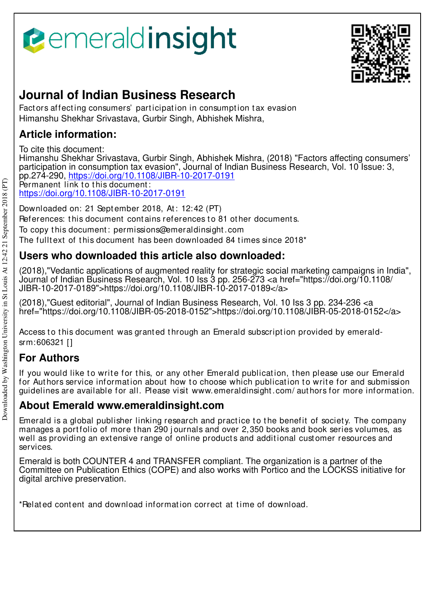



# **Journal of Indian Business Research**

Fact ors affecting consumers' participation in consumption tax evasion Himanshu Shekhar Srivastava, Gurbir Singh, Abhishek Mishra,

# **Article information:**

To cite this document:

Himanshu Shekhar Srivastava, Gurbir Singh, Abhishek Mishra, (2018) "Factors affecting consumers' participation in consumption tax evasion", Journal of Indian Business Research, Vol. 10 Issue: 3, pp.274-290, https://doi.org/10.1108/JIBR-10-2017-0191

Permanent link to this document: https://doi.org/10.1108/JIBR-10-2017-0191

Downloaded on: 21 Sept ember 2018, At : 12:42 (PT)

References: this document contains references to 81 other documents.

To copy t his document : permissions@emeraldinsight .com

The fulltext of this document has been downloaded 84 times since 2018\*

# **Users who downloaded this article also downloaded:**

(2018),"Vedantic applications of augmented reality for strategic social marketing campaigns in India", Journal of Indian Business Research, Vol. 10 Iss 3 pp. 256-273 <a href="https://doi.org/10.1108/ JIBR-10-2017-0189">https://doi.org/10.1108/JIBR-10-2017-0189</a>

(2018),"Guest editorial", Journal of Indian Business Research, Vol. 10 Iss 3 pp. 234-236 <a href="https://doi.org/10.1108/JIBR-05-2018-0152">https://doi.org/10.1108/JIBR-05-2018-0152</a>

Access to this document was granted through an Emerald subscription provided by emeraldsrm:606321 []

# **For Authors**

If you would like to write for this, or any other Emerald publication, then please use our Emerald for Authors service information about how to choose which publication to write for and submission guidelines are available for all. Please visit www.emeraldinsight .com/ aut hors for more informat ion.

# **About Emerald www.emeraldinsight.com**

Emerald is a global publisher linking research and practice to the benefit of society. The company manages a portfolio of more than 290 journals and over 2,350 books and book series volumes, as well as providing an extensive range of online products and additional customer resources and services.

Emerald is both COUNTER 4 and TRANSFER compliant. The organization is a partner of the Committee on Publication Ethics (COPE) and also works with Portico and the LOCKSS initiative for digital archive preservation.

\*Related content and download information correct at time of download.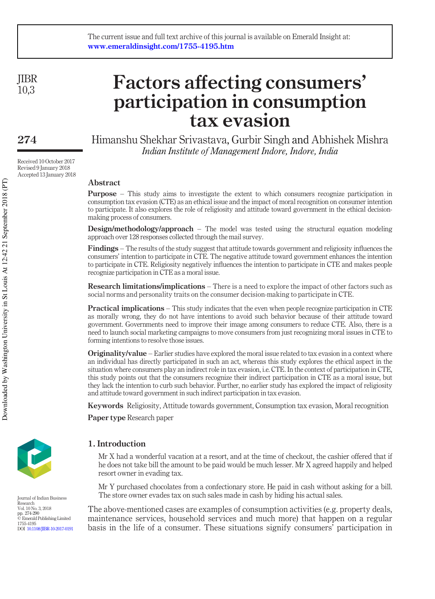JIBR 10,3

# 274

Received 10 October 2017 Revised 9 January 2018 Accepted 13 January 2018

# Factors affecting consumers' participation in consumption tax evasion

Himanshu Shekhar Srivastava, Gurbir Singh and Abhishek Mishra *Indian Institute of Management Indore, Indore, India*

## Abstract

Purpose – This study aims to investigate the extent to which consumers recognize participation in consumption tax evasion (CTE) as an ethical issue and the impact of moral recognition on consumer intention to participate. It also explores the role of religiosity and attitude toward government in the ethical decisionmaking process of consumers.

**Design/methodology/approach** – The model was tested using the structural equation modeling approach over 128 responses collected through the mail survey.

Findings – The results of the study suggest that attitude towards government and religiosity influences the consumers' intention to participate in CTE. The negative attitude toward government enhances the intention to participate in CTE. Religiosity negatively influences the intention to participate in CTE and makes people recognize participation in CTE as a moral issue.

Research limitations/implications – There is a need to explore the impact of other factors such as social norms and personality traits on the consumer decision-making to participate in CTE.

Practical implications – This study indicates that the even when people recognize participation in CTE as morally wrong, they do not have intentions to avoid such behavior because of their attitude toward government. Governments need to improve their image among consumers to reduce CTE. Also, there is a need to launch social marketing campaigns to move consumers from just recognizing moral issues in CTE to forming intentions to resolve those issues.

Originality/value – Earlier studies have explored the moral issue related to tax evasion in a context where an individual has directly participated in such an act, whereas this study explores the ethical aspect in the situation where consumers play an indirect role in tax evasion, i.e. CTE. In the context of participation in CTE, this study points out that the consumers recognize their indirect participation in CTE as a moral issue, but they lack the intention to curb such behavior. Further, no earlier study has explored the impact of religiosity and attitude toward government in such indirect participation in tax evasion.

Keywords Religiosity, Attitude towards government, Consumption tax evasion, Moral recognition

Paper type Research paper

# 1. Introduction

Mr X had a wonderful vacation at a resort, and at the time of checkout, the cashier offered that if he does not take bill the amount to be paid would be much lesser. Mr X agreed happily and helped resort owner in evading tax.

Mr Y purchased chocolates from a confectionary store. He paid in cash without asking for a bill. The store owner evades tax on such sales made in cash by hiding his actual sales.

The above-mentioned cases are examples of consumption activities (e.g. property deals, maintenance services, household services and much more) that happen on a regular basis in the life of a consumer. These situations signify consumers' participation in



Journal of Indian Business Research Vol. 10 No. 3, 2018 pp. 274-290 © Emerald Publishing Limited 1755-4195 DOI 10.1108/JIBR-10-2017-0191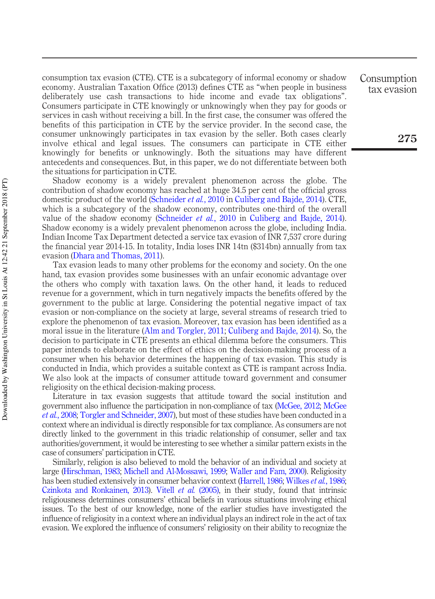consumption tax evasion (CTE). CTE is a subcategory of informal economy or shadow economy. Australian Taxation Office (2013) defines CTE as "when people in business deliberately use cash transactions to hide income and evade tax obligations". Consumers participate in CTE knowingly or unknowingly when they pay for goods or services in cash without receiving a bill. In the first case, the consumer was offered the benefits of this participation in CTE by the service provider. In the second case, the consumer unknowingly participates in tax evasion by the seller. Both cases clearly involve ethical and legal issues. The consumers can participate in CTE either knowingly for benefits or unknowingly. Both the situations may have different antecedents and consequences. But, in this paper, we do not differentiate between both the situations for participation in CTE.

Shadow economy is a widely prevalent phenomenon across the globe. The contribution of shadow economy has reached at huge 34.5 per cent of the official gross domestic product of the world (Schneider *et al.*, 2010 in Culiberg and Bajde, 2014). CTE, which is a subcategory of the shadow economy, contributes one-third of the overall value of the shadow economy (Schneider *et al.*, 2010 in Culiberg and Bajde, 2014). Shadow economy is a widely prevalent phenomenon across the globe, including India. Indian Income Tax Department detected a service tax evasion of INR 7,537 crore during the financial year 2014-15. In totality, India loses INR 14tn (\$314bn) annually from tax evasion (Dhara and Thomas, 2011).

Tax evasion leads to many other problems for the economy and society. On the one hand, tax evasion provides some businesses with an unfair economic advantage over the others who comply with taxation laws. On the other hand, it leads to reduced revenue for a government, which in turn negatively impacts the benefits offered by the government to the public at large. Considering the potential negative impact of tax evasion or non-compliance on the society at large, several streams of research tried to explore the phenomenon of tax evasion. Moreover, tax evasion has been identified as a moral issue in the literature (Alm and Torgler, 2011; Culiberg and Bajde, 2014). So, the decision to participate in CTE presents an ethical dilemma before the consumers. This paper intends to elaborate on the effect of ethics on the decision-making process of a consumer when his behavior determines the happening of tax evasion. This study is conducted in India, which provides a suitable context as CTE is rampant across India. We also look at the impacts of consumer attitude toward government and consumer religiosity on the ethical decision-making process.

Literature in tax evasion suggests that attitude toward the social institution and government also influence the participation in non-compliance of tax (McGee, 2012; McGee *et al.*, 2008; Torgler and Schneider, 2007), but most of these studies have been conducted in a context where an individual is directly responsible for tax compliance. As consumers are not directly linked to the government in this triadic relationship of consumer, seller and tax authorities/government, it would be interesting to see whether a similar pattern exists in the case of consumers' participation in CTE.

Similarly, religion is also believed to mold the behavior of an individual and society at large (Hirschman, 1983; Michell and Al-Mossawi, 1999; Waller and Fam, 2000). Religiosity has been studied extensively in consumer behavior context (Harrell, 1986; Wilkes *et al.*, 1986; Czinkota and Ronkainen, 2013). Vitell *et al.* (2005), in their study, found that intrinsic religiousness determines consumers' ethical beliefs in various situations involving ethical issues. To the best of our knowledge, none of the earlier studies have investigated the influence of religiosity in a context where an individual plays an indirect role in the act of tax evasion. We explored the influence of consumers' religiosity on their ability to recognize the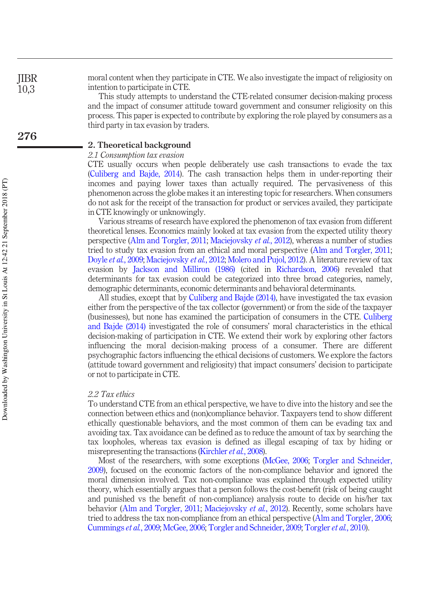moral content when they participate in CTE. We also investigate the impact of religiosity on intention to participate in CTE.

> This study attempts to understand the CTE-related consumer decision-making process and the impact of consumer attitude toward government and consumer religiosity on this process. This paper is expected to contribute by exploring the role played by consumers as a third party in tax evasion by traders.

#### 2. Theoretical background

#### *2.1 Consumption tax evasion*

CTE usually occurs when people deliberately use cash transactions to evade the tax (Culiberg and Bajde, 2014). The cash transaction helps them in under-reporting their incomes and paying lower taxes than actually required. The pervasiveness of this phenomenon across the globe makes it an interesting topic for researchers. When consumers do not ask for the receipt of the transaction for product or services availed, they participate in CTE knowingly or unknowingly.

Various streams of research have explored the phenomenon of tax evasion from different theoretical lenses. Economics mainly looked at tax evasion from the expected utility theory perspective (Alm and Torgler, 2011; Maciejovsky *et al.*, 2012), whereas a number of studies tried to study tax evasion from an ethical and moral perspective (Alm and Torgler, 2011; Doyle *et al.*, 2009; Maciejovsky *et al.*, 2012; Molero and Pujol, 2012). A literature review of tax evasion by Jackson and Milliron (1986) (cited in Richardson, 2006) revealed that determinants for tax evasion could be categorized into three broad categories, namely, demographic determinants, economic determinants and behavioral determinants.

All studies, except that by Culiberg and Bajde (2014), have investigated the tax evasion either from the perspective of the tax collector (government) or from the side of the taxpayer (businesses), but none has examined the participation of consumers in the CTE. Culiberg and Bajde (2014) investigated the role of consumers' moral characteristics in the ethical decision-making of participation in CTE. We extend their work by exploring other factors influencing the moral decision-making process of a consumer. There are different psychographic factors influencing the ethical decisions of customers. We explore the factors (attitude toward government and religiosity) that impact consumers' decision to participate or not to participate in CTE.

#### *2.2 Tax ethics*

To understand CTE from an ethical perspective, we have to dive into the history and see the connection between ethics and (non)compliance behavior. Taxpayers tend to show different ethically questionable behaviors, and the most common of them can be evading tax and avoiding tax. Tax avoidance can be defined as to reduce the amount of tax by searching the tax loopholes, whereas tax evasion is defined as illegal escaping of tax by hiding or misrepresenting the transactions (Kirchler *et al.*, 2008).

Most of the researchers, with some exceptions (McGee, 2006; Torgler and Schneider, 2009), focused on the economic factors of the non-compliance behavior and ignored the moral dimension involved. Tax non-compliance was explained through expected utility theory, which essentially argues that a person follows the cost-benefit (risk of being caught and punished vs the benefit of non-compliance) analysis route to decide on his/her tax behavior (Alm and Torgler, 2011; Maciejovsky *et al.*, 2012). Recently, some scholars have tried to address the tax non-compliance from an ethical perspective (Alm and Torgler, 2006; Cummings *et al.*, 2009; McGee, 2006; Torgler and Schneider, 2009; Torgler *et al.*, 2010).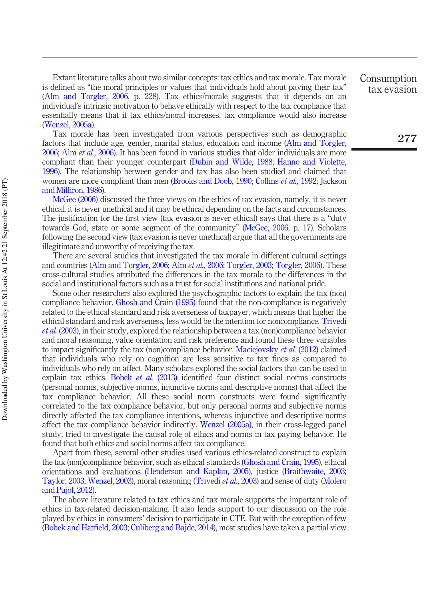Extant literature talks about two similar concepts: tax ethics and tax morale. Tax morale is defined as "the moral principles or values that individuals hold about paying their tax" (Alm and Torgler, 2006, p. 228). Tax ethics/morale suggests that it depends on an individual's intrinsic motivation to behave ethically with respect to the tax compliance that essentially means that if tax ethics/moral increases, tax compliance would also increase (Wenzel, 2005a).

Tax morale has been investigated from various perspectives such as demographic factors that include age, gender, marital status, education and income (Alm and Torgler, 2006; Alm *et al.*, 2006). It has been found in various studies that older individuals are more compliant than their younger counterpart (Dubin and Wilde, 1988; Hanno and Violette, 1996). The relationship between gender and tax has also been studied and claimed that women are more compliant than men (Brooks and Doob, 1990; Collins *et al.*, 1992; Jackson and Milliron, 1986).

McGee (2006) discussed the three views on the ethics of tax evasion, namely, it is never ethical, it is never unethical and it may be ethical depending on the facts and circumstances. The justification for the first view (tax evasion is never ethical) says that there is a "duty towards God, state or some segment of the community" (McGee, 2006, p. 17). Scholars following the second view (tax evasion is never unethical) argue that all the governments are illegitimate and unworthy of receiving the tax.

There are several studies that investigated the tax morale in different cultural settings and countries (Alm and Torgler, 2006; Alm *et al.*, 2006; Torgler, 2003; Torgler, 2006). These cross-cultural studies attributed the differences in the tax morale to the differences in the social and institutional factors such as a trust for social institutions and national pride.

Some other researchers also explored the psychographic factors to explain the tax (non) compliance behavior. Ghosh and Crain (1995) found that the non-compliance is negatively related to the ethical standard and risk averseness of taxpayer, which means that higher the ethical standard and risk averseness, less would be the intention for noncompliance. Trivedi *et al.* (2003), in their study, explored the relationship between a tax (non)compliance behavior and moral reasoning, value orientation and risk preference and found these three variables to impact significantly the tax (non)compliance behavior. Maciejovsky *et al.* (2012) claimed that individuals who rely on cognition are less sensitive to tax fines as compared to individuals who rely on affect. Many scholars explored the social factors that can be used to explain tax ethics. Bobek *et al.* (2013) identified four distinct social norms constructs (personal norms, subjective norms, injunctive norms and descriptive norms) that affect the tax compliance behavior. All these social norm constructs were found significantly correlated to the tax compliance behavior, but only personal norms and subjective norms directly affected the tax compliance intentions, whereas injunctive and descriptive norms affect the tax compliance behavior indirectly. Wenzel (2005a), in their cross-legged panel study, tried to investigate the causal role of ethics and norms in tax paying behavior. He found that both ethics and social norms affect tax compliance.

Apart from these, several other studies used various ethics-related construct to explain the tax (non)compliance behavior, such as ethical standards (Ghosh and Crain, 1995), ethical orientations and evaluations (Henderson and Kaplan, 2005), justice (Braithwaite, 2003; Taylor, 2003; Wenzel, 2003), moral reasoning (Trivedi *et al.*, 2003) and sense of duty (Molero and Pujol, 2012).

The above literature related to tax ethics and tax morale supports the important role of ethics in tax-related decision-making. It also lends support to our discussion on the role played by ethics in consumers' decision to participate in CTE. But with the exception of few (Bobek and Hatfield, 2003; Culiberg and Bajde, 2014), most studies have taken a partial view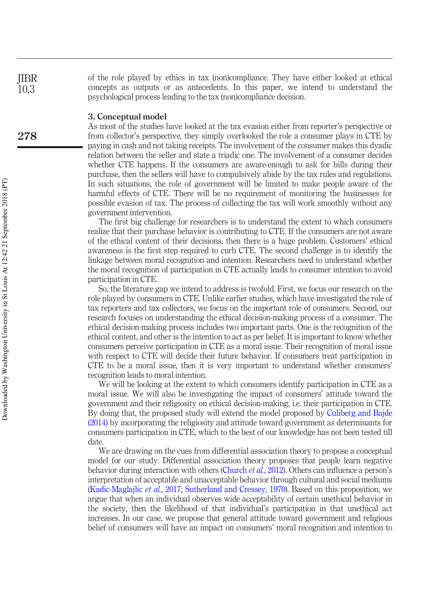of the role played by ethics in tax (non)compliance. They have either looked at ethical concepts as outputs or as antecedents. In this paper, we intend to understand the psychological process leading to the tax (non)compliance decision.

#### 3. Conceptual model

As most of the studies have looked at the tax evasion either from reporter's perspective or from collector's perspective, they simply overlooked the role a consumer plays in CTE by paying in cash and not taking receipts. The involvement of the consumer makes this dyadic relation between the seller and state a triadic one. The involvement of a consumer decides whether CTE happens. If the consumers are aware-enough to ask for bills during their purchase, then the sellers will have to compulsively abide by the tax rules and regulations. In such situations, the role of government will be limited to make people aware of the harmful effects of CTE. There will be no requirement of monitoring the businesses for possible evasion of tax. The process of collecting the tax will work smoothly without any government intervention.

The first big challenge for researchers is to understand the extent to which consumers realize that their purchase behavior is contributing to CTE. If the consumers are not aware of the ethical content of their decisions, then there is a huge problem. Customers' ethical awareness is the first step required to curb CTE. The second challenge is to identify the linkage between moral recognition and intention. Researchers need to understand whether the moral recognition of participation in CTE actually leads to consumer intention to avoid participation in CTE.

So, the literature gap we intend to address is twofold. First, we focus our research on the role played by consumers in CTE. Unlike earlier studies, which have investigated the role of tax reporters and tax collectors, we focus on the important role of consumers. Second, our research focuses on understanding the ethical decision-making process of a consumer. The ethical decision-making process includes two important parts. One is the recognition of the ethical content, and other is the intention to act as per belief. It is important to know whether consumers perceive participation in CTE as a moral issue. Their recognition of moral issue with respect to CTE will decide their future behavior. If consumers treat participation in CTE to be a moral issue, then it is very important to understand whether consumers' recognition leads to moral intention.

We will be looking at the extent to which consumers identify participation in CTE as a moral issue. We will also be investigating the impact of consumers' attitude toward the government and their religiosity on ethical decision-making, i.e. their participation in CTE. By doing that, the proposed study will extend the model proposed by Culiberg and Bajde (2014) by incorporating the religiosity and attitude toward government as determinants for consumers participation in CTE, which to the best of our knowledge has not been tested till date.

We are drawing on the cues from differential association theory to propose a conceptual model for our study. Differential association theory proposes that people learn negative behavior during interaction with others (Church *et al.*, 2012). Others can influence a person's interpretation of acceptable and unacceptable behavior through cultural and social mediums (Kadic-Maglajlic *et al.*, 2017; Sutherland and Cressey, 1970). Based on this proposition, we argue that when an individual observes wide acceptability of certain unethical behavior in the society, then the likelihood of that individual's participation in that unethical act increases. In our case, we propose that general attitude toward government and religious belief of consumers will have an impact on consumers' moral recognition and intention to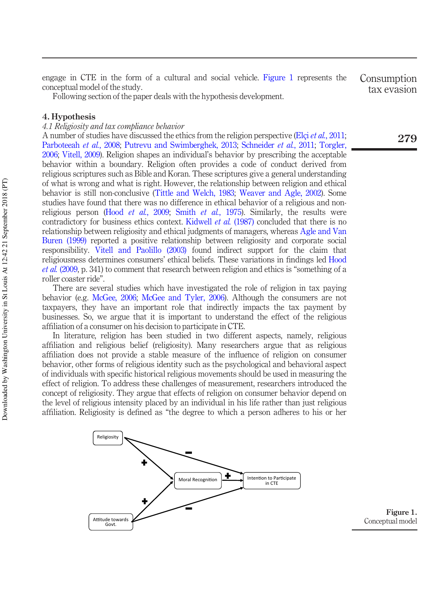engage in CTE in the form of a cultural and social vehicle. Figure 1 represents the conceptual model of the study. Consumption tax evasion

Following section of the paper deals with the hypothesis development.

# 4. Hypothesis

*4.1 Religiosity and tax compliance behavior*

A number of studies have discussed the ethics from the religion perspective (Elçi *et al.*, 2011; Parboteeah *et al.*, 2008; Putrevu and Swimberghek, 2013; Schneider *et al.*, 2011; Torgler, 2006; Vitell, 2009). Religion shapes an individual's behavior by prescribing the acceptable behavior within a boundary. Religion often provides a code of conduct derived from religious scriptures such as Bible and Koran. These scriptures give a general understanding of what is wrong and what is right. However, the relationship between religion and ethical behavior is still non-conclusive (Tittle and Welch, 1983; Weaver and Agle, 2002). Some studies have found that there was no difference in ethical behavior of a religious and nonreligious person (Hood *et al.*, 2009; Smith *et al.*, 1975). Similarly, the results were contradictory for business ethics context. Kidwell *et al.* (1987) concluded that there is no relationship between religiosity and ethical judgments of managers, whereas Agle and Van Buren (1999) reported a positive relationship between religiosity and corporate social responsibility. Vitell and Paolillo (2003) found indirect support for the claim that religiousness determines consumers' ethical beliefs. These variations in findings led Hood *et al.* (2009, p. 341) to comment that research between religion and ethics is "something of a roller coaster ride".

There are several studies which have investigated the role of religion in tax paying behavior (e.g. McGee, 2006; McGee and Tyler, 2006). Although the consumers are not taxpayers, they have an important role that indirectly impacts the tax payment by businesses. So, we argue that it is important to understand the effect of the religious affiliation of a consumer on his decision to participate in CTE.

In literature, religion has been studied in two different aspects, namely, religious affiliation and religious belief (religiosity). Many researchers argue that as religious affiliation does not provide a stable measure of the influence of religion on consumer behavior, other forms of religious identity such as the psychological and behavioral aspect of individuals with specific historical religious movements should be used in measuring the effect of religion. To address these challenges of measurement, researchers introduced the concept of religiosity. They argue that effects of religion on consumer behavior depend on the level of religious intensity placed by an individual in his life rather than just religious affiliation. Religiosity is defined as "the degree to which a person adheres to his or her



Figure 1. Conceptual model

279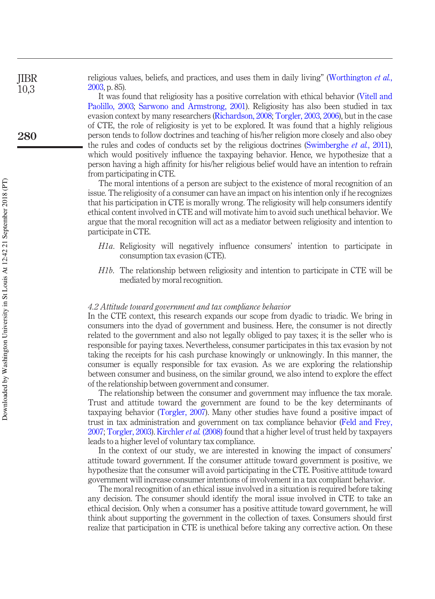religious values, beliefs, and practices, and uses them in daily living" (Worthington *et al.*, 2003, p. 85).

It was found that religiosity has a positive correlation with ethical behavior (Vitell and Paolillo, 2003; Sarwono and Armstrong, 2001). Religiosity has also been studied in tax evasion context by many researchers (Richardson, 2008; Torgler, 2003, 2006), but in the case of CTE, the role of religiosity is yet to be explored. It was found that a highly religious person tends to follow doctrines and teaching of his/her religion more closely and also obey the rules and codes of conducts set by the religious doctrines (Swimberghe *et al.*, 2011), which would positively influence the taxpaying behavior. Hence, we hypothesize that a person having a high affinity for his/her religious belief would have an intention to refrain from participating in CTE.

The moral intentions of a person are subject to the existence of moral recognition of an issue. The religiosity of a consumer can have an impact on his intention only if he recognizes that his participation in CTE is morally wrong. The religiosity will help consumers identify ethical content involved in CTE and will motivate him to avoid such unethical behavior. We argue that the moral recognition will act as a mediator between religiosity and intention to participate in CTE.

- *H1a*. Religiosity will negatively influence consumers' intention to participate in consumption tax evasion (CTE).
- *H1b*. The relationship between religiosity and intention to participate in CTE will be mediated by moral recognition.

#### *4.2 Attitude toward government and tax compliance behavior*

In the CTE context, this research expands our scope from dyadic to triadic. We bring in consumers into the dyad of government and business. Here, the consumer is not directly related to the government and also not legally obliged to pay taxes; it is the seller who is responsible for paying taxes. Nevertheless, consumer participates in this tax evasion by not taking the receipts for his cash purchase knowingly or unknowingly. In this manner, the consumer is equally responsible for tax evasion. As we are exploring the relationship between consumer and business, on the similar ground, we also intend to explore the effect of the relationship between government and consumer.

The relationship between the consumer and government may influence the tax morale. Trust and attitude toward the government are found to be the key determinants of taxpaying behavior (Torgler, 2007). Many other studies have found a positive impact of trust in tax administration and government on tax compliance behavior (Feld and Frey, 2007; Torgler, 2003). Kirchler *et al.* (2008) found that a higher level of trust held by taxpayers leads to a higher level of voluntary tax compliance.

In the context of our study, we are interested in knowing the impact of consumers' attitude toward government. If the consumer attitude toward government is positive, we hypothesize that the consumer will avoid participating in the CTE. Positive attitude toward government will increase consumer intentions of involvement in a tax compliant behavior.

The moral recognition of an ethical issue involved in a situation is required before taking any decision. The consumer should identify the moral issue involved in CTE to take an ethical decision. Only when a consumer has a positive attitude toward government, he will think about supporting the government in the collection of taxes. Consumers should first realize that participation in CTE is unethical before taking any corrective action. On these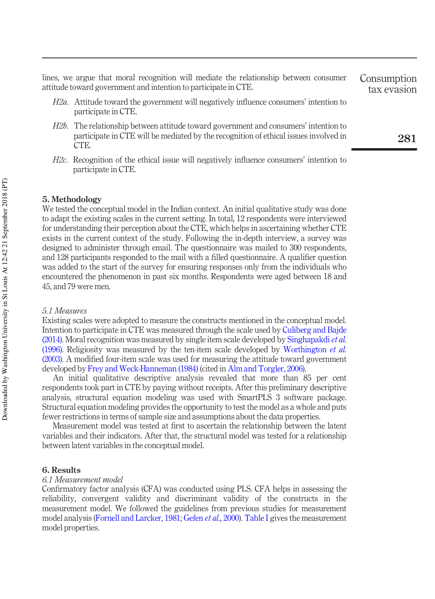lines, we argue that moral recognition will mediate the relationship between consumer attitude toward government and intention to participate in CTE.

- *H2a*. Attitude toward the government will negatively influence consumers' intention to participate in CTE.
- *H2b*. The relationship between attitude toward government and consumers' intention to participate in CTE will be mediated by the recognition of ethical issues involved in CTE.
- *H2c*. Recognition of the ethical issue will negatively influence consumers' intention to participate in CTE.

#### 5. Methodology

We tested the conceptual model in the Indian context. An initial qualitative study was done to adapt the existing scales in the current setting. In total, 12 respondents were interviewed for understanding their perception about the CTE, which helps in ascertaining whether CTE exists in the current context of the study. Following the in-depth interview, a survey was designed to administer through email. The questionnaire was mailed to 300 respondents, and 128 participants responded to the mail with a filled questionnaire. A qualifier question was added to the start of the survey for ensuring responses only from the individuals who encountered the phenomenon in past six months. Respondents were aged between 18 and 45, and 79 were men.

### *5.1 Measures*

Existing scales were adopted to measure the constructs mentioned in the conceptual model. Intention to participate in CTE was measured through the scale used by Culiberg and Bajde (2014). Moral recognition was measured by single item scale developed by Singhapakdi *et al.* (1996). Religiosity was measured by the ten-item scale developed by Worthington *et al.* (2003). A modified four-item scale was used for measuring the attitude toward government developed by Frey and Weck-Hanneman (1984) (cited in Alm and Torgler, 2006).

An initial qualitative descriptive analysis revealed that more than 85 per cent respondents took part in CTE by paying without receipts. After this preliminary descriptive analysis, structural equation modeling was used with SmartPLS 3 software package. Structural equation modeling provides the opportunity to test the model as a whole and puts fewer restrictions in terms of sample size and assumptions about the data properties.

Measurement model was tested at first to ascertain the relationship between the latent variables and their indicators. After that, the structural model was tested for a relationship between latent variables in the conceptual model.

### 6. Results

### *6.1 Measurement model*

Confirmatory factor analysis (CFA) was conducted using PLS. CFA helps in assessing the reliability, convergent validity and discriminant validity of the constructs in the measurement model. We followed the guidelines from previous studies for measurement model analysis (Fornell and Larcker, 1981; Gefen *et al*., 2000). Table I gives the measurement model properties.

281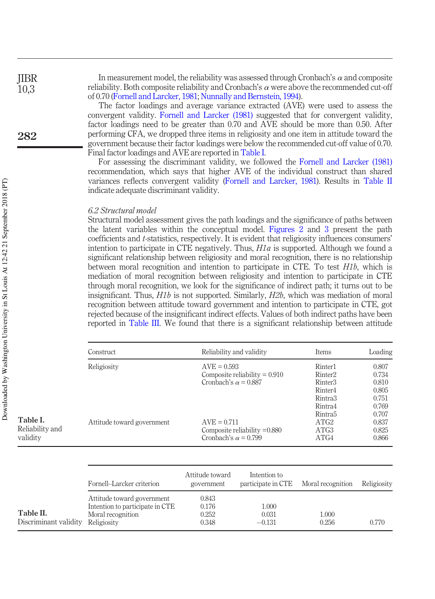| In measurement model, the reliability was assessed through Cronbach's $\alpha$ and composite       |
|----------------------------------------------------------------------------------------------------|
| reliability. Both composite reliability and Cronbach's $\alpha$ were above the recommended cut-off |
| of 0.70 (Fornell and Larcker, 1981; Nunnally and Bernstein, 1994).                                 |

The factor loadings and average variance extracted (AVE) were used to assess the convergent validity. Fornell and Larcker (1981) suggested that for convergent validity, factor loadings need to be greater than 0.70 and AVE should be more than 0.50. After performing CFA, we dropped three items in religiosity and one item in attitude toward the government because their factor loadings were below the recommended cut-off value of 0.70. Final factor loadings and AVE are reported in Table I.

For assessing the discriminant validity, we followed the Fornell and Larcker (1981) recommendation, which says that higher AVE of the individual construct than shared variances reflects convergent validity (Fornell and Larcker, 1981). Results in Table II indicate adequate discriminant validity.

#### *6.2 Structural model*

Structural model assessment gives the path loadings and the significance of paths between the latent variables within the conceptual model. Figures 2 and 3 present the path coefficients and *t*-statistics, respectively. It is evident that religiosity influences consumers' intention to participate in CTE negatively. Thus, *H1a* is supported. Although we found a significant relationship between religiosity and moral recognition, there is no relationship between moral recognition and intention to participate in CTE. To test *H1b*, which is mediation of moral recognition between religiosity and intention to participate in CTE through moral recognition, we look for the significance of indirect path; it turns out to be insignificant. Thus, *H1b* is not supported. Similarly, *H2b*, which was mediation of moral recognition between attitude toward government and intention to participate in CTE, got rejected because of the insignificant indirect effects. Values of both indirect paths have been reported in Table III. We found that there is a significant relationship between attitude

|                                         | Construct                                                                                         | Reliability and validity<br>$AVE = 0.593$<br>Composite reliability $= 0.910$<br>Cronbach's $\alpha$ = 0.887 |                                    | Items<br>Rinter1<br>Rinter <sub>2</sub><br>Rinter3   | Loading<br>0.807<br>0.734<br>0.810 |
|-----------------------------------------|---------------------------------------------------------------------------------------------------|-------------------------------------------------------------------------------------------------------------|------------------------------------|------------------------------------------------------|------------------------------------|
|                                         | Religiosity                                                                                       |                                                                                                             |                                    |                                                      |                                    |
|                                         |                                                                                                   |                                                                                                             |                                    | Rinter <sub>4</sub><br>Rintra3<br>Rintra4<br>Rintra5 | 0.805<br>0.751<br>0.769<br>0.707   |
| Table I.<br>Reliability and<br>validity | Attitude toward government                                                                        | $AVE = 0.711$<br>Composite reliability $=0.880$<br>Cronbach's $\alpha = 0.799$                              |                                    | ATG <sub>2</sub><br>ATG3<br>ATG4                     | 0.837<br>0.825<br>0.866            |
|                                         |                                                                                                   |                                                                                                             |                                    |                                                      |                                    |
|                                         | Fornell-Larcker criterion                                                                         | Attitude toward<br>government                                                                               | Intention to<br>participate in CTE | Moral recognition                                    | Religiosity                        |
| Table II.<br>Discriminant validity      | Attitude toward government<br>Intention to participate in CTE<br>Moral recognition<br>Religiosity | 0.843<br>0.176<br>0.252<br>0.348                                                                            | 1.000<br>0.031<br>$-0.131$         | 1.000<br>0.256                                       | 0.770                              |

Religiosity 0.348  $-0.131$  0.256 0.770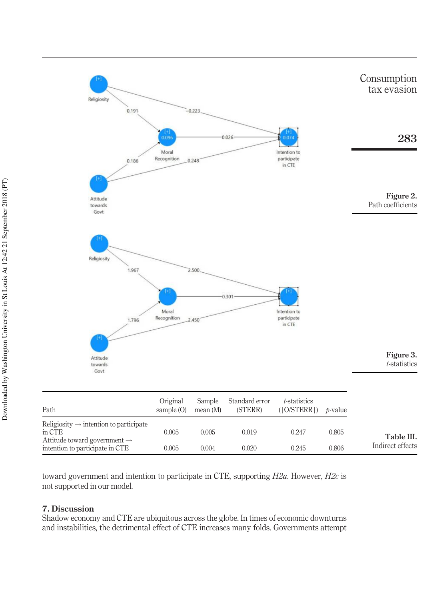

toward government and intention to participate in CTE, supporting *H2a*. However, *H2c* is not supported in our model.

# 7. Discussion

Shadow economy and CTE are ubiquitous across the globe. In times of economic downturns and instabilities, the detrimental effect of CTE increases many folds. Governments attempt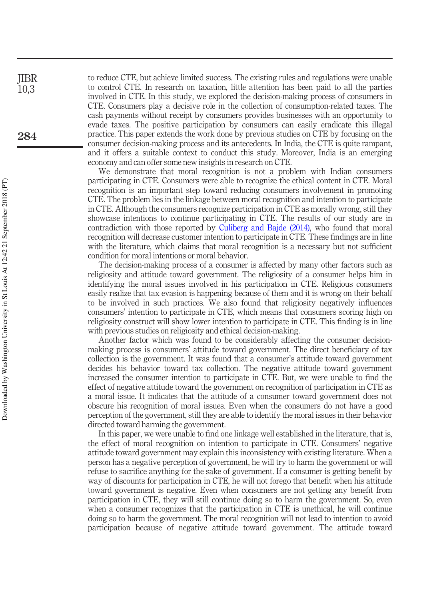to reduce CTE, but achieve limited success. The existing rules and regulations were unable to control CTE. In research on taxation, little attention has been paid to all the parties involved in CTE. In this study, we explored the decision-making process of consumers in CTE. Consumers play a decisive role in the collection of consumption-related taxes. The cash payments without receipt by consumers provides businesses with an opportunity to evade taxes. The positive participation by consumers can easily eradicate this illegal practice. This paper extends the work done by previous studies on CTE by focusing on the consumer decision-making process and its antecedents. In India, the CTE is quite rampant, and it offers a suitable context to conduct this study. Moreover, India is an emerging economy and can offer some new insights in research on CTE.

We demonstrate that moral recognition is not a problem with Indian consumers participating in CTE. Consumers were able to recognize the ethical content in CTE. Moral recognition is an important step toward reducing consumers involvement in promoting CTE. The problem lies in the linkage between moral recognition and intention to participate in CTE. Although the consumers recognize participation in CTE as morally wrong, still they showcase intentions to continue participating in CTE. The results of our study are in contradiction with those reported by Culiberg and Bajde (2014), who found that moral recognition will decrease customer intention to participate in CTE. These findings are in line with the literature, which claims that moral recognition is a necessary but not sufficient condition for moral intentions or moral behavior.

The decision-making process of a consumer is affected by many other factors such as religiosity and attitude toward government. The religiosity of a consumer helps him in identifying the moral issues involved in his participation in CTE. Religious consumers easily realize that tax evasion is happening because of them and it is wrong on their behalf to be involved in such practices. We also found that religiosity negatively influences consumers' intention to participate in CTE, which means that consumers scoring high on religiosity construct will show lower intention to participate in CTE. This finding is in line with previous studies on religiosity and ethical decision-making.

Another factor which was found to be considerably affecting the consumer decisionmaking process is consumers' attitude toward government. The direct beneficiary of tax collection is the government. It was found that a consumer's attitude toward government decides his behavior toward tax collection. The negative attitude toward government increased the consumer intention to participate in CTE. But, we were unable to find the effect of negative attitude toward the government on recognition of participation in CTE as a moral issue. It indicates that the attitude of a consumer toward government does not obscure his recognition of moral issues. Even when the consumers do not have a good perception of the government, still they are able to identify the moral issues in their behavior directed toward harming the government.

In this paper, we were unable to find one linkage well established in the literature, that is, the effect of moral recognition on intention to participate in CTE. Consumers' negative attitude toward government may explain this inconsistency with existing literature. When a person has a negative perception of government, he will try to harm the government or will refuse to sacrifice anything for the sake of government. If a consumer is getting benefit by way of discounts for participation in CTE, he will not forego that benefit when his attitude toward government is negative. Even when consumers are not getting any benefit from participation in CTE, they will still continue doing so to harm the government. So, even when a consumer recognizes that the participation in CTE is unethical, he will continue doing so to harm the government. The moral recognition will not lead to intention to avoid participation because of negative attitude toward government. The attitude toward

284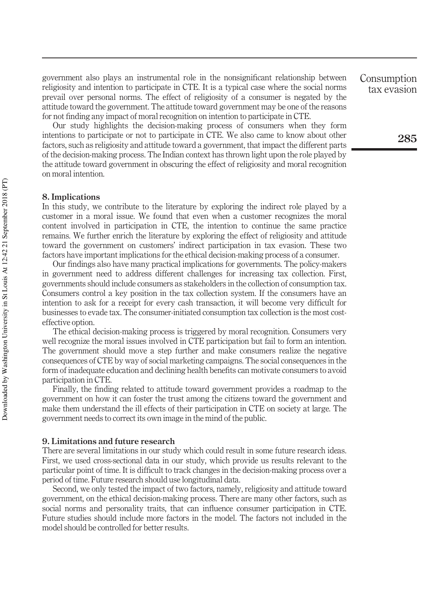government also plays an instrumental role in the nonsignificant relationship between religiosity and intention to participate in CTE. It is a typical case where the social norms prevail over personal norms. The effect of religiosity of a consumer is negated by the attitude toward the government. The attitude toward government may be one of the reasons for not finding any impact of moral recognition on intention to participate in CTE.

Our study highlights the decision-making process of consumers when they form intentions to participate or not to participate in CTE. We also came to know about other factors, such as religiosity and attitude toward a government, that impact the different parts of the decision-making process. The Indian context has thrown light upon the role played by the attitude toward government in obscuring the effect of religiosity and moral recognition on moral intention.

#### 8. Implications

In this study, we contribute to the literature by exploring the indirect role played by a customer in a moral issue. We found that even when a customer recognizes the moral content involved in participation in CTE, the intention to continue the same practice remains. We further enrich the literature by exploring the effect of religiosity and attitude toward the government on customers' indirect participation in tax evasion. These two factors have important implications for the ethical decision-making process of a consumer.

Our findings also have many practical implications for governments. The policy-makers in government need to address different challenges for increasing tax collection. First, governments should include consumers as stakeholders in the collection of consumption tax. Consumers control a key position in the tax collection system. If the consumers have an intention to ask for a receipt for every cash transaction, it will become very difficult for businesses to evade tax. The consumer-initiated consumption tax collection is the most costeffective option.

The ethical decision-making process is triggered by moral recognition. Consumers very well recognize the moral issues involved in CTE participation but fail to form an intention. The government should move a step further and make consumers realize the negative consequences of CTE by way of social marketing campaigns. The social consequences in the form of inadequate education and declining health benefits can motivate consumers to avoid participation in CTE.

Finally, the finding related to attitude toward government provides a roadmap to the government on how it can foster the trust among the citizens toward the government and make them understand the ill effects of their participation in CTE on society at large. The government needs to correct its own image in the mind of the public.

#### 9. Limitations and future research

There are several limitations in our study which could result in some future research ideas. First, we used cross-sectional data in our study, which provide us results relevant to the particular point of time. It is difficult to track changes in the decision-making process over a period of time. Future research should use longitudinal data.

Second, we only tested the impact of two factors, namely, religiosity and attitude toward government, on the ethical decision-making process. There are many other factors, such as social norms and personality traits, that can influence consumer participation in CTE. Future studies should include more factors in the model. The factors not included in the model should be controlled for better results.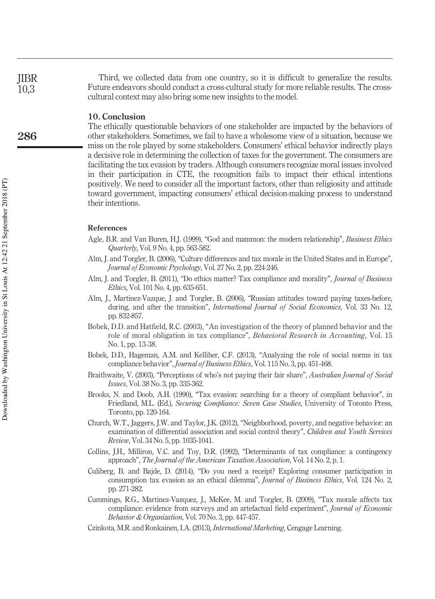Third, we collected data from one country, so it is difficult to generalize the results. Future endeavors should conduct a cross-cultural study for more reliable results. The crosscultural context may also bring some new insights to the model.

### 10. Conclusion

The ethically questionable behaviors of one stakeholder are impacted by the behaviors of other stakeholders. Sometimes, we fail to have a wholesome view of a situation, because we miss on the role played by some stakeholders. Consumers' ethical behavior indirectly plays a decisive role in determining the collection of taxes for the government. The consumers are facilitating the tax evasion by traders. Although consumers recognize moral issues involved in their participation in CTE, the recognition fails to impact their ethical intentions positively. We need to consider all the important factors, other than religiosity and attitude toward government, impacting consumers' ethical decision-making process to understand their intentions.

### References

- Agle, B.R. and Van Buren, H.J. (1999), "God and mammon: the modern relationship", *Business Ethics Quarterly*, Vol. 9 No. 4, pp. 563-582.
- Alm, J. and Torgler, B. (2006), "Culture differences and tax morale in the United States and in Europe", *Journal of Economic Psychology*, Vol. 27 No. 2, pp. 224-246.
- Alm, J. and Torgler, B. (2011), "Do ethics matter? Tax compliance and morality", *Journal of Business Ethics*, Vol. 101 No. 4, pp. 635-651.
- Alm, J., Martinez-Vazque, J. and Torgler, B. (2006), "Russian attitudes toward paying taxes-before, during, and after the transition", *International Journal of Social Economics*, Vol. 33 No. 12, pp. 832-857.
- Bobek, D.D. and Hatfield, R.C. (2003), "An investigation of the theory of planned behavior and the role of moral obligation in tax compliance", *Behavioral Research in Accounting*, Vol. 15 No. 1, pp. 13-38.
- Bobek, D.D., Hageman, A.M. and Kelliher, C.F. (2013), "Analyzing the role of social norms in tax compliance behavior", *Journal of Business Ethics*, Vol. 115 No. 3, pp. 451-468.
- Braithwaite, V. (2003), "Perceptions of who's not paying their fair share", *Australian Journal of Social Issues*, Vol. 38 No. 3, pp. 335-362.
- Brooks, N. and Doob, A.H. (1990), "Tax evasion: searching for a theory of compliant behavior", in Friedland, M.L. (Ed.), *Securing Compliance: Seven Case Studies*, University of Toronto Press, Toronto, pp. 120-164.
- Church, W.T., Jaggers, J.W. and Taylor, J.K. (2012), "Neighborhood, poverty, and negative behavior: an examination of differential association and social control theory", *Children and Youth Services Review*, Vol. 34 No. 5, pp. 1035-1041.
- Collins, J.H., Milliron, V.C. and Toy, D.R. (1992), "Determinants of tax compliance: a contingency approach", *The Journal of the American Taxation Association*, Vol. 14 No. 2, p. 1.
- Culiberg, B. and Bajde, D. (2014), "Do you need a receipt? Exploring consumer participation in consumption tax evasion as an ethical dilemma", *Journal of Business Ethics*, Vol. 124 No. 2, pp. 271-282.
- Cummings, R.G., Martinez-Vazquez, J., McKee, M. and Torgler, B. (2009), "Tax morale affects tax compliance: evidence from surveys and an artefactual field experiment", *Journal of Economic Behavior & Organization*, Vol. 70 No. 3, pp. 447-457.
- Czinkota, M.R. and Ronkainen, I.A. (2013), *International Marketing*, Cengage Learning.

286

JIBR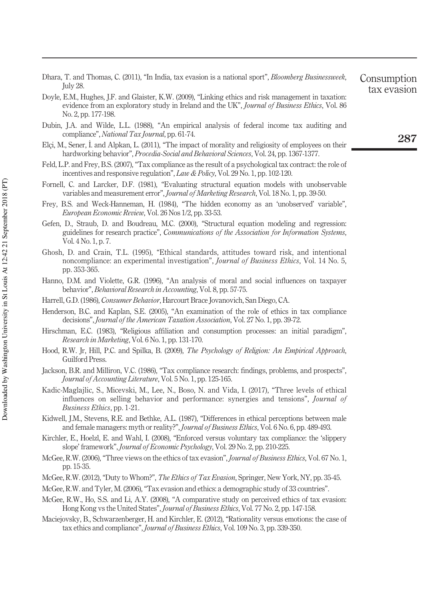- Dhara, T. and Thomas, C. (2011), "In India, tax evasion is a national sport", *Bloomberg Businessweek*, July 28.
- Doyle, E.M., Hughes, J.F. and Glaister, K.W. (2009), "Linking ethics and risk management in taxation: evidence from an exploratory study in Ireland and the UK", *Journal of Business Ethics*, Vol. 86 No. 2, pp. 177-198.
- Dubin, J.A. and Wilde, L.L. (1988), "An empirical analysis of federal income tax auditing and compliance", *National Tax Journal*, pp. 61-74.
- Elçi, M., Sener, İ. and Alpkan, L. (2011), "The impact of morality and religiosity of employees on their hardworking behavior", *Procedia-Social and Behavioral Sciences*, Vol. 24, pp. 1367-1377.
- Feld, L.P. and Frey, B.S. (2007), "Tax compliance as the result of a psychological tax contract: the role of incentives and responsive regulation", *Law & Policy*, Vol. 29 No. 1, pp. 102-120.
- Fornell, C. and Larcker, D.F. (1981), "Evaluating structural equation models with unobservable variables and measurement error", *Journal of Marketing Research*, Vol. 18 No. 1, pp. 39-50.
- Frey, B.S. and Weck-Hanneman, H. (1984), "The hidden economy as an 'unobserved' variable", *European Economic Review*, Vol. 26 Nos 1/2, pp. 33-53.
- Gefen, D., Straub, D. and Boudreau, M.C. (2000), "Structural equation modeling and regression: guidelines for research practice", *Communications of the Association for Information Systems*, Vol. 4 No. 1, p. 7.
- Ghosh, D. and Crain, T.L. (1995), "Ethical standards, attitudes toward risk, and intentional noncompliance: an experimental investigation", *Journal of Business Ethics*, Vol. 14 No. 5, pp. 353-365.
- Hanno, D.M. and Violette, G.R. (1996), "An analysis of moral and social influences on taxpayer behavior", *Behavioral Research in Accounting*, Vol. 8, pp. 57-75.
- Harrell, G.D. (1986), *Consumer Behavior*, Harcourt Brace Jovanovich, San Diego, CA.
- Henderson, B.C. and Kaplan, S.E. (2005), "An examination of the role of ethics in tax compliance decisions", *Journal of the American Taxation Association*, Vol. 27 No. 1, pp. 39-72.
- Hirschman, E.C. (1983), "Religious affiliation and consumption processes: an initial paradigm", *Research in Marketing*, Vol. 6 No. 1, pp. 131-170.
- Hood, R.W. Jr, Hill, P.C. and Spilka, B. (2009), *The Psychology of Religion: An Empirical Approach*, Guilford Press.
- Jackson, B.R. and Milliron, V.C. (1986), "Tax compliance research: findings, problems, and prospects", *Journal of Accounting Literature*, Vol. 5 No. 1, pp. 125-165.
- Kadic-Maglajlic, S., Micevski, M., Lee, N., Boso, N. and Vida, I. (2017), "Three levels of ethical influences on selling behavior and performance: synergies and tensions", *Journal of Business Ethics*, pp. 1-21.
- Kidwell, J.M., Stevens, R.E. and Bethke, A.L. (1987), "Differences in ethical perceptions between male and female managers: myth or reality?", *Journal of Business Ethics*, Vol. 6 No. 6, pp. 489-493.
- Kirchler, E., Hoelzl, E. and Wahl, I. (2008), "Enforced versus voluntary tax compliance: the 'slippery slope' framework", *Journal of Economic Psychology*, Vol. 29 No. 2, pp. 210-225.
- McGee, R.W. (2006), "Three views on the ethics of tax evasion", *Journal of Business Ethics*, Vol. 67 No. 1, pp. 15-35.
- McGee, R.W. (2012),"Duty to Whom?", *The Ethics of Tax Evasion*, Springer, New York, NY, pp. 35-45.
- McGee, R.W. and Tyler, M. (2006),"Tax evasion and ethics: a demographic study of 33 countries".
- McGee, R.W., Ho, S.S. and Li, A.Y. (2008), "A comparative study on perceived ethics of tax evasion: Hong Kong vs the United States", *Journal of Business Ethics*, Vol. 77 No. 2, pp. 147-158.
- Maciejovsky, B., Schwarzenberger, H. and Kirchler, E. (2012), "Rationality versus emotions: the case of tax ethics and compliance", *Journal of Business Ethics*, Vol. 109 No. 3, pp. 339-350.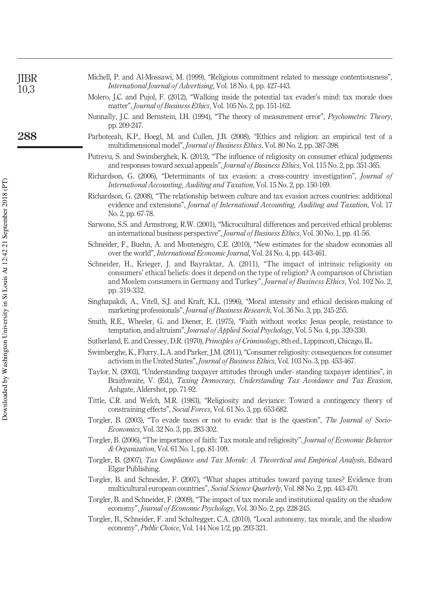| Molero, J.C. and Pujol, F. (2012), "Walking inside the potential tax evader's mind: tax morale does<br>matter", Journal of Business Ethics, Vol. 105 No. 2, pp. 151-162.<br>Nunnally, J.C. and Bernstein, I.H. (1994), "The theory of measurement error", Psychometric Theory,<br>pp. 209-247.<br>Parboteeah, K.P., Hoegl, M. and Cullen, J.B. (2008), "Ethics and religion: an empirical test of a<br>multidimensional model", Journal of Business Ethics, Vol. 80 No. 2, pp. 387-398.<br>Putrevu, S. and Swimberghek, K. (2013), "The influence of religiosity on consumer ethical judgments<br>and responses toward sexual appeals", <i>Journal of Business Ethics</i> , Vol. 115 No. 2, pp. 351-365.<br>Richardson, G. (2006), "Determinants of tax evasion: a cross-country investigation", Journal of<br>International Accounting, Auditing and Taxation, Vol. 15 No. 2, pp. 150-169.<br>Richardson, G. (2008), "The relationship between culture and tax evasion across countries: additional<br>evidence and extensions", Journal of International Accounting, Auditing and Taxation, Vol. 17<br>No. 2, pp. 67-78.<br>Sarwono, S.S. and Armstrong, R.W. (2001), "Microcultural differences and perceived ethical problems:<br>an international business perspective", Journal of Business Ethics, Vol. 30 No. 1, pp. 41-56.<br>Schneider, F., Buehn, A. and Montenegro, C.E. (2010), "New estimates for the shadow economies all<br>over the world", <i>International Economic Journal</i> , Vol. 24 No. 4, pp. 443-461.<br>Schneider, H., Krieger, J. and Bayraktar, A. (2011), "The impact of intrinsic religiosity on |
|----------------------------------------------------------------------------------------------------------------------------------------------------------------------------------------------------------------------------------------------------------------------------------------------------------------------------------------------------------------------------------------------------------------------------------------------------------------------------------------------------------------------------------------------------------------------------------------------------------------------------------------------------------------------------------------------------------------------------------------------------------------------------------------------------------------------------------------------------------------------------------------------------------------------------------------------------------------------------------------------------------------------------------------------------------------------------------------------------------------------------------------------------------------------------------------------------------------------------------------------------------------------------------------------------------------------------------------------------------------------------------------------------------------------------------------------------------------------------------------------------------------------------------------------------------------------------------------------------------------------------------|
|                                                                                                                                                                                                                                                                                                                                                                                                                                                                                                                                                                                                                                                                                                                                                                                                                                                                                                                                                                                                                                                                                                                                                                                                                                                                                                                                                                                                                                                                                                                                                                                                                                  |
|                                                                                                                                                                                                                                                                                                                                                                                                                                                                                                                                                                                                                                                                                                                                                                                                                                                                                                                                                                                                                                                                                                                                                                                                                                                                                                                                                                                                                                                                                                                                                                                                                                  |
|                                                                                                                                                                                                                                                                                                                                                                                                                                                                                                                                                                                                                                                                                                                                                                                                                                                                                                                                                                                                                                                                                                                                                                                                                                                                                                                                                                                                                                                                                                                                                                                                                                  |
|                                                                                                                                                                                                                                                                                                                                                                                                                                                                                                                                                                                                                                                                                                                                                                                                                                                                                                                                                                                                                                                                                                                                                                                                                                                                                                                                                                                                                                                                                                                                                                                                                                  |
|                                                                                                                                                                                                                                                                                                                                                                                                                                                                                                                                                                                                                                                                                                                                                                                                                                                                                                                                                                                                                                                                                                                                                                                                                                                                                                                                                                                                                                                                                                                                                                                                                                  |
|                                                                                                                                                                                                                                                                                                                                                                                                                                                                                                                                                                                                                                                                                                                                                                                                                                                                                                                                                                                                                                                                                                                                                                                                                                                                                                                                                                                                                                                                                                                                                                                                                                  |
|                                                                                                                                                                                                                                                                                                                                                                                                                                                                                                                                                                                                                                                                                                                                                                                                                                                                                                                                                                                                                                                                                                                                                                                                                                                                                                                                                                                                                                                                                                                                                                                                                                  |
|                                                                                                                                                                                                                                                                                                                                                                                                                                                                                                                                                                                                                                                                                                                                                                                                                                                                                                                                                                                                                                                                                                                                                                                                                                                                                                                                                                                                                                                                                                                                                                                                                                  |
| consumers' ethical beliefs: does it depend on the type of religion? A comparison of Christian<br>and Moslem consumers in Germany and Turkey", <i>Journal of Business Ethics</i> , Vol. 102 No. 2,<br>pp. 319-332.                                                                                                                                                                                                                                                                                                                                                                                                                                                                                                                                                                                                                                                                                                                                                                                                                                                                                                                                                                                                                                                                                                                                                                                                                                                                                                                                                                                                                |
| Singhapakdi, A., Vitell, S.J. and Kraft, K.L. (1996), "Moral intensity and ethical decision-making of<br>marketing professionals", Journal of Business Research, Vol. 36 No. 3, pp. 245-255.                                                                                                                                                                                                                                                                                                                                                                                                                                                                                                                                                                                                                                                                                                                                                                                                                                                                                                                                                                                                                                                                                                                                                                                                                                                                                                                                                                                                                                     |
| Smith, R.E., Wheeler, G. and Diener, E. (1975), "Faith without works: Jesus people, resistance to<br>temptation, and altruism", <i>Journal of Applied Social Psychology</i> , Vol. 5 No. 4, pp. 320-330.                                                                                                                                                                                                                                                                                                                                                                                                                                                                                                                                                                                                                                                                                                                                                                                                                                                                                                                                                                                                                                                                                                                                                                                                                                                                                                                                                                                                                         |
| Sutherland, E. and Cressey, D.R. (1970), Principles of Criminology, 8th ed., Lippincott, Chicago, IL.                                                                                                                                                                                                                                                                                                                                                                                                                                                                                                                                                                                                                                                                                                                                                                                                                                                                                                                                                                                                                                                                                                                                                                                                                                                                                                                                                                                                                                                                                                                            |
| Swimberghe, K., Flurry, L.A. and Parker, J.M. (2011), "Consumer religiosity: consequences for consumer<br>activism in the United States", Journal of Business Ethics, Vol. 103 No. 3, pp. 453-467.                                                                                                                                                                                                                                                                                                                                                                                                                                                                                                                                                                                                                                                                                                                                                                                                                                                                                                                                                                                                                                                                                                                                                                                                                                                                                                                                                                                                                               |
| Taylor, N. (2003), "Understanding taxpayer attitudes through under-standing taxpayer identities", in<br>Braithwaite, V. (Ed.), Taxing Democracy, Understanding Tax Avoidance and Tax Evasion,<br>Ashgate, Aldershot, pp. 71-92.                                                                                                                                                                                                                                                                                                                                                                                                                                                                                                                                                                                                                                                                                                                                                                                                                                                                                                                                                                                                                                                                                                                                                                                                                                                                                                                                                                                                  |
| Tittle, C.R. and Welch, M.R. (1983), "Religiosity and deviance: Toward a contingency theory of<br>constraining effects", Social Forces, Vol. 61 No. 3, pp. 653-682.                                                                                                                                                                                                                                                                                                                                                                                                                                                                                                                                                                                                                                                                                                                                                                                                                                                                                                                                                                                                                                                                                                                                                                                                                                                                                                                                                                                                                                                              |
| Torgler, B. (2003), "To evade taxes or not to evade: that is the question", The Journal of Socio-<br><i>Economics</i> , Vol. 32 No. 3, pp. 283-302.                                                                                                                                                                                                                                                                                                                                                                                                                                                                                                                                                                                                                                                                                                                                                                                                                                                                                                                                                                                                                                                                                                                                                                                                                                                                                                                                                                                                                                                                              |
| Torgler, B. (2006), "The importance of faith: Tax morale and religiosity", Journal of Economic Behavior<br>& Organization, Vol. 61 No. 1, pp. 81-109.                                                                                                                                                                                                                                                                                                                                                                                                                                                                                                                                                                                                                                                                                                                                                                                                                                                                                                                                                                                                                                                                                                                                                                                                                                                                                                                                                                                                                                                                            |
| Torgler, B. (2007), Tax Compliance and Tax Morale: A Theoretical and Empirical Analysis, Edward<br>Elgar Publishing.                                                                                                                                                                                                                                                                                                                                                                                                                                                                                                                                                                                                                                                                                                                                                                                                                                                                                                                                                                                                                                                                                                                                                                                                                                                                                                                                                                                                                                                                                                             |
| Torgler, B. and Schneider, F. (2007), "What shapes attitudes toward paying taxes? Evidence from<br>multicultural european countries", Social Science Quarterly, Vol. 88 No. 2, pp. 443-470.                                                                                                                                                                                                                                                                                                                                                                                                                                                                                                                                                                                                                                                                                                                                                                                                                                                                                                                                                                                                                                                                                                                                                                                                                                                                                                                                                                                                                                      |
| Torgler, B. and Schneider, F. (2009), "The impact of tax morale and institutional quality on the shadow<br>economy", Journal of Economic Psychology, Vol. 30 No. 2, pp. 228-245.                                                                                                                                                                                                                                                                                                                                                                                                                                                                                                                                                                                                                                                                                                                                                                                                                                                                                                                                                                                                                                                                                                                                                                                                                                                                                                                                                                                                                                                 |
| Torgler, B., Schneider, F. and Schaltegger, C.A. (2010), "Local autonomy, tax morale, and the shadow<br>economy", Public Choice, Vol. 144 Nos 1/2, pp. 293-321.                                                                                                                                                                                                                                                                                                                                                                                                                                                                                                                                                                                                                                                                                                                                                                                                                                                                                                                                                                                                                                                                                                                                                                                                                                                                                                                                                                                                                                                                  |
|                                                                                                                                                                                                                                                                                                                                                                                                                                                                                                                                                                                                                                                                                                                                                                                                                                                                                                                                                                                                                                                                                                                                                                                                                                                                                                                                                                                                                                                                                                                                                                                                                                  |

Downloaded by Washington University in St Louis At 12:42 21 September 2018 (PT) Downloaded by Washington University in St Louis At 12:42 21 September 2018 (PT)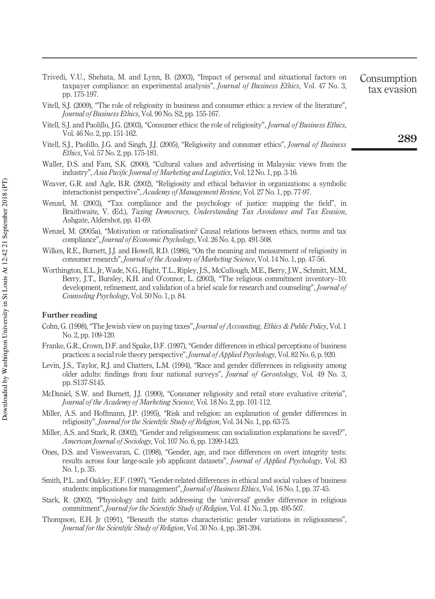- Trivedi, V.U., Shehata, M. and Lynn, B. (2003), "Impact of personal and situational factors on taxpayer compliance: an experimental analysis", *Journal of Business Ethics*, Vol. 47 No. 3, pp. 175-197. **Consumption**
- Vitell, S.J. (2009), "The role of religiosity in business and consumer ethics: a review of the literature", *Journal of Business Ethics*, Vol. 90 No. S2, pp. 155-167.
- Vitell, S.J. and Paolillo, J.G. (2003), "Consumer ethics: the role of religiosity", *Journal of Business Ethics*, Vol. 46 No. 2, pp. 151-162.
- Vitell, S.J., Paolillo, J.G. and Singh, J.J. (2005), "Religiosity and consumer ethics", *Journal of Business Ethics*, Vol. 57 No. 2, pp. 175-181.
- Waller, D.S. and Fam, S.K. (2000), "Cultural values and advertising in Malaysia: views from the industry", *Asia Paci*fi*c Journal of Marketing and Logistics*, Vol. 12 No. 1, pp. 3-16.
- Weaver, G.R. and Agle, B.R. (2002), "Religiosity and ethical behavior in organizations: a symbolic interactionist perspective", *Academy of Management Review*, Vol. 27 No. 1, pp. 77-97.
- Wenzel, M. (2003), "Tax compliance and the psychology of justice: mapping the field", in Braithwaite, V. (Ed.), *Taxing Democracy, Understanding Tax Avoidance and Tax Evasion*, Ashgate, Aldershot, pp. 41-69.
- Wenzel, M. (2005a), "Motivation or rationalisation? Causal relations between ethics, norms and tax compliance", *Journal of Economic Psychology*, Vol. 26 No. 4, pp. 491-508.
- Wilkes, R.E., Burnett, J.J. and Howell, R.D. (1986), "On the meaning and measurement of religiosity in consumer research", *Journal of the Academy of Marketing Science*, Vol. 14 No. 1, pp. 47-56.
- Worthington, E.L. Jr, Wade, N.G., Hight, T.L., Ripley, J.S., McCullough, M.E., Berry, J.W., Schmitt, M.M., Berry, J.T., Bursley, K.H. and O'connor, L. (2003), "The religious commitment inventory–10: development, refinement, and validation of a brief scale for research and counseling", *Journal of Counseling Psychology*, Vol. 50 No. 1, p. 84.

#### Further reading

- Cohn, G. (1998), "The Jewish view on paying taxes", *Journal of Accounting, Ethics & Public Policy*, Vol. 1 No. 2, pp. 109-120.
- Franke, G.R., Crown, D.F. and Spake, D.F. (1997), "Gender differences in ethical perceptions of business practices: a social role theory perspective", *Journal of Applied Psychology*, Vol. 82 No. 6, p. 920.
- Levin, J.S., Taylor, R.J. and Chatters, L.M. (1994), "Race and gender differences in religiosity among older adults: findings from four national surveys", *Journal of Gerontology*, Vol. 49 No. 3, pp. S137-S145.
- McDaniel, S.W. and Burnett, J.J. (1990), "Consumer religiosity and retail store evaluative criteria", *Journal of the Academy of Marketing Science*, Vol. 18 No. 2, pp. 101-112.
- Miller, A.S. and Hoffmann, J.P. (1995), "Risk and religion: an explanation of gender differences in religiosity", *Journal for the Scienti*fi*c Study of Religion*, Vol. 34 No. 1, pp. 63-75.
- Miller, A.S. and Stark, R. (2002), "Gender and religiousness: can socialization explanations be saved?", *American Journal of Sociology*, Vol. 107 No. 6, pp. 1399-1423.
- Ones, D.S. and Viswesvaran, C. (1998), "Gender, age, and race differences on overt integrity tests: results across four large-scale job applicant datasets", *Journal of Applied Psychology*, Vol. 83 No. 1, p. 35.
- Smith, P.L. and Oakley, E.F. (1997), "Gender-related differences in ethical and social values of business students: implications for management", *Journal of Business Ethics*, Vol. 16 No. 1, pp. 37-45.
- Stark, R. (2002), "Physiology and faith: addressing the 'universal' gender difference in religious commitment", *Journal for the Scienti*fi*c Study of Religion*, Vol. 41 No. 3, pp. 495-507.
- Thompson, E.H. Jr (1991), "Beneath the status characteristic: gender variations in religiousness", *Journal for the Scienti*fi*c Study of Religion*, Vol. 30 No. 4, pp. 381-394.

tax evasion